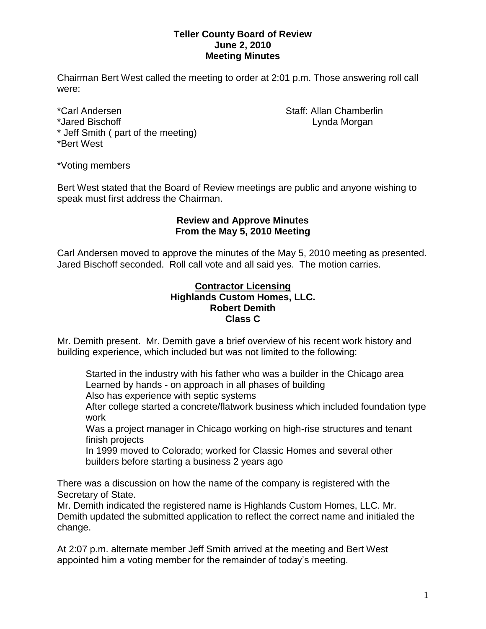## **Teller County Board of Review June 2, 2010 Meeting Minutes**

Chairman Bert West called the meeting to order at 2:01 p.m. Those answering roll call were:

\*Carl Andersen North Staff: Allan Chamberlin \*Jared Bischoff **Lynda Morgan** \* Jeff Smith ( part of the meeting) \*Bert West

\*Voting members

Bert West stated that the Board of Review meetings are public and anyone wishing to speak must first address the Chairman.

## **Review and Approve Minutes From the May 5, 2010 Meeting**

Carl Andersen moved to approve the minutes of the May 5, 2010 meeting as presented. Jared Bischoff seconded. Roll call vote and all said yes. The motion carries.

### **Contractor Licensing Highlands Custom Homes, LLC. Robert Demith Class C**

Mr. Demith present. Mr. Demith gave a brief overview of his recent work history and building experience, which included but was not limited to the following:

Started in the industry with his father who was a builder in the Chicago area Learned by hands - on approach in all phases of building

Also has experience with septic systems

After college started a concrete/flatwork business which included foundation type work

Was a project manager in Chicago working on high-rise structures and tenant finish projects

In 1999 moved to Colorado; worked for Classic Homes and several other builders before starting a business 2 years ago

There was a discussion on how the name of the company is registered with the Secretary of State.

Mr. Demith indicated the registered name is Highlands Custom Homes, LLC. Mr. Demith updated the submitted application to reflect the correct name and initialed the change.

At 2:07 p.m. alternate member Jeff Smith arrived at the meeting and Bert West appointed him a voting member for the remainder of today's meeting.